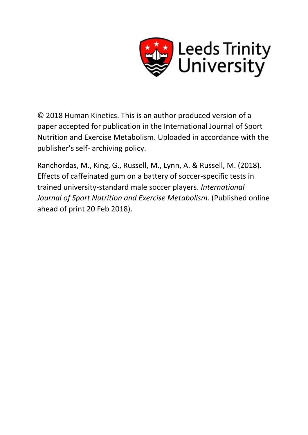

© 2018 Human Kinetics. This is an author produced version of a paper accepted for publication in the International Journal of Sport Nutrition and Exercise Metabolism. Uploaded in accordance with the publisher's self- archiving policy.

Ranchordas, M., King, G., Russell, M., Lynn, A. & Russell, M. (2018). Effects of caffeinated gum on a battery of soccer-specific tests in trained university-standard male soccer players. *International*  Journal of Sport Nutrition and Exercise Metabolism. (Published online ahead of print 20 Feb 2018).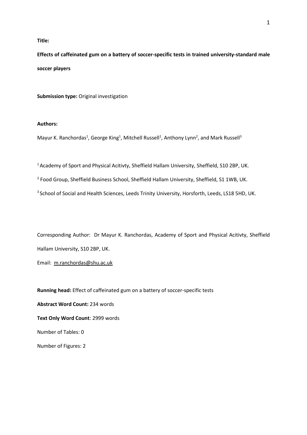## **Title:**

**Effects of caffeinated gum on a battery of soccer-specific tests in trained university-standard male soccer players**

**Submission type: Original investigation** 

# **Authors:**

Mayur K. Ranchordas<sup>1</sup>, George King<sup>1</sup>, Mitchell Russell<sup>1</sup>, Anthony Lynn<sup>2</sup>, and Mark Russell<sup>3</sup>

<sup>1</sup> Academy of Sport and Physical Acitivty, Sheffield Hallam University, Sheffield, S10 2BP, UK.

2 Food Group, Sheffield Business School, Sheffield Hallam University, Sheffield, S1 1WB, UK.

<sup>3</sup> School of Social and Health Sciences, Leeds Trinity University, Horsforth, Leeds, LS18 5HD, UK.

Corresponding Author: Dr Mayur K. Ranchordas, Academy of Sport and Physical Acitivty, Sheffield Hallam University, S10 2BP, UK.

Email: [m.ranchordas@shu.ac.uk](mailto:m.ranchordas@shu.ac.uk)

**Running head:** Effect of caffeinated gum on a battery of soccer-specific tests

**Abstract Word Count:** 234 words

**Text Only Word Count**: 2999 words

Number of Tables: 0

Number of Figures: 2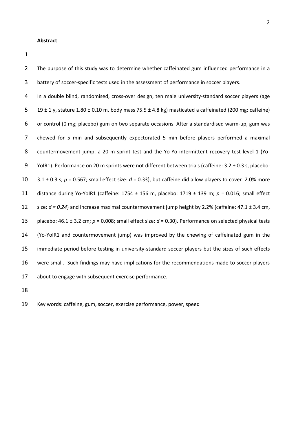#### **Abstract**

 The purpose of this study was to determine whether caffeinated gum influenced performance in a battery of soccer-specific tests used in the assessment of performance in soccer players.

 In a double blind, randomised, cross-over design, ten male university-standard soccer players (age 5 19  $\pm$  1 y, stature 1.80  $\pm$  0.10 m, body mass 75.5  $\pm$  4.8 kg) masticated a caffeinated (200 mg; caffeine) or control (0 mg; placebo) gum on two separate occasions. After a standardised warm-up, gum was chewed for 5 min and subsequently expectorated 5 min before players performed a maximal countermovement jump, a 20 m sprint test and the Yo-Yo intermittent recovery test level 1 (Yo- YoIR1). Performance on 20 m sprints were not different between trials (caffeine: 3.2 ± 0.3 s, placebo:  $3.1 \pm 0.3$  s;  $p = 0.567$ ; small effect size:  $d = 0.33$ ), but caffeine did allow players to cover 2.0% more distance during Yo-YoIR1 (caffeine: 1754 ± 156 m, placebo: 1719 ± 139 m; *p* = 0.016; small effect size: *d = 0.24*) and increase maximal countermovement jump height by 2.2% (caffeine: 47.1 ± 3.4 cm, placebo: 46.1 ± 3.2 cm; *p* = 0.008; small effect size: *d* = 0.30). Performance on selected physical tests (Yo-YoIR1 and countermovement jump) was improved by the chewing of caffeinated gum in the immediate period before testing in university-standard soccer players but the sizes of such effects were small. Such findings may have implications for the recommendations made to soccer players about to engage with subsequent exercise performance.

Key words: caffeine, gum, soccer, exercise performance, power, speed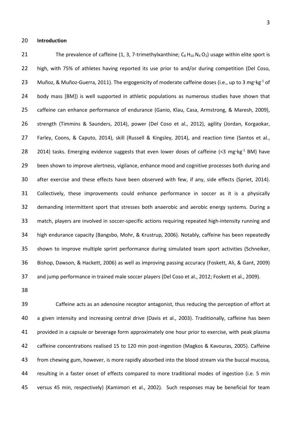## **Introduction**

21 The prevalence of caffeine (1, 3, 7-trimethylxanthine;  $C_8 H_{10} N_4 O_2$ ) usage within elite sport is high, with 75% of athletes having reported its use prior to and/or during competition (Del Coso, 23 Muñoz, & Muñoz-Guerra, 2011). The ergogenicity of moderate caffeine doses (i.e., up to 3 mg·kg<sup>-1</sup> of body mass [BM]) is well supported in athletic populations as numerous studies have shown that caffeine can enhance performance of endurance (Ganio, Klau, Casa, Armstrong, & Maresh, 2009), strength (Timmins & Saunders, 2014), power (Del Coso et al., 2012), agility (Jordan, Korgaokar, Farley, Coons, & Caputo, 2014), skill (Russell & Kingsley, 2014), and reaction time (Santos et al., 28 2014) tasks. Emerging evidence suggests that even lower doses of caffeine (<3 mg·kg<sup>-1</sup> BM) have been shown to improve alertness, vigilance, enhance mood and cognitive processes both during and after exercise and these effects have been observed with few, if any, side effects (Spriet, 2014). Collectively, these improvements could enhance performance in soccer as it is a physically demanding intermittent sport that stresses both anaerobic and aerobic energy systems. During a match, players are involved in soccer-specific actions requiring repeated high-intensity running and high endurance capacity (Bangsbo, Mohr, & Krustrup, 2006). Notably, caffeine has been repeatedly shown to improve multiple sprint performance during simulated team sport activities (Schneiker, Bishop, Dawson, & Hackett, 2006) as well as improving passing accuracy (Foskett, Ali, & Gant, 2009) and jump performance in trained male soccer players (Del Coso et al., 2012; Foskett et al., 2009).

 Caffeine acts as an adenosine receptor antagonist, thus reducing the perception of effort at a given intensity and increasing central drive (Davis et al., 2003). Traditionally, caffeine has been provided in a capsule or beverage form approximately one hour prior to exercise, with peak plasma caffeine concentrations realised 15 to 120 min post-ingestion (Magkos & Kavouras, 2005). Caffeine from chewing gum, however, is more rapidly absorbed into the blood stream via the buccal mucosa, resulting in a faster onset of effects compared to more traditional modes of ingestion (i.e. 5 min versus 45 min, respectively) (Kamimori et al., 2002). Such responses may be beneficial for team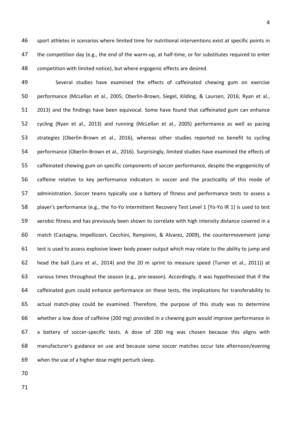sport athletes in scenarios where limited time for nutritional interventions exist at specific points in the competition day (e.g., the end of the warm-up, at half-time, or for substitutes required to enter competition with limited notice), but where ergogenic effects are desired.

 Several studies have examined the effects of caffeinated chewing gum on exercise performance (McLellan et al., 2005; Oberlin-Brown, Siegel, Kilding, & Laursen, 2016; Ryan et al., 2013) and the findings have been equivocal. Some have found that caffeinated gum can enhance cycling (Ryan et al., 2013) and running (McLellan et al., 2005) performance as well as pacing strategies (Oberlin-Brown et al., 2016), whereas other studies reported no benefit to cycling performance (Oberlin-Brown et al., 2016). Surprisingly, limited studies have examined the effects of caffeinated chewing gum on specific components of soccer performance, despite the ergogenicity of caffeine relative to key performance indicators in soccer and the practicality of this mode of administration. Soccer teams typically use a battery of fitness and performance tests to assess a player's performance (e.g., the Yo-Yo Intermittent Recovery Test Level 1 [Yo-Yo IR 1] is used to test aerobic fitness and has previously been shown to correlate with high intensity distance covered in a match (Castagna, Impellizzeri, Cecchini, Rampinini, & Alvarez, 2009), the countermovement jump test is used to assess explosive lower body power output which may relate to the ability to jump and head the ball (Lara et al., 2014) and the 20 m sprint to measure speed (Turner et al., 2011)) at various times throughout the season (e.g., pre-season). Accordingly, it was hypothesised that if the caffeinated gum could enhance performance on these tests, the implications for transferability to actual match-play could be examined. Therefore, the purpose of this study was to determine whether a low dose of caffeine (200 mg) provided in a chewing gum would improve performance in a battery of soccer-specific tests. A dose of 200 mg was chosen because this aligns with manufacturer's guidance on use and because some soccer matches occur late afternoon/evening when the use of a higher dose might perturb sleep.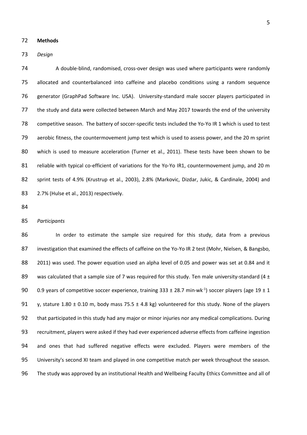#### **Methods**

## *Design*

 A double-blind, randomised, cross-over design was used where participants were randomly allocated and counterbalanced into caffeine and placebo conditions using a random sequence generator (GraphPad Software Inc. USA). University-standard male soccer players participated in the study and data were collected between March and May 2017 towards the end of the university competitive season. The battery of soccer-specific tests included the Yo-Yo IR 1 which is used to test aerobic fitness, the countermovement jump test which is used to assess power, and the 20 m sprint which is used to measure acceleration (Turner et al., 2011). These tests have been shown to be reliable with typical co-efficient of variations for the Yo-Yo IR1, countermovement jump, and 20 m sprint tests of 4.9% (Krustrup et al., 2003), 2.8% (Markovic, Dizdar, Jukic, & Cardinale, 2004) and 83 2.7% (Hulse et al., 2013) respectively.

#### *Participants*

 In order to estimate the sample size required for this study, data from a previous investigation that examined the effects of caffeine on the Yo-Yo IR 2 test (Mohr, Nielsen, & Bangsbo, 2011) was used. The power equation used an alpha level of 0.05 and power was set at 0.84 and it 89 was calculated that a sample size of 7 was required for this study. Ten male university-standard (4  $\pm$ 90 0.9 years of competitive soccer experience, training 333  $\pm$  28.7 min·wk<sup>-1</sup>) soccer players (age 19  $\pm$  1 y, stature 1.80 ± 0.10 m, body mass 75.5 ± 4.8 kg) volunteered for this study. None of the players that participated in this study had any major or minor injuries nor any medical complications. During recruitment, players were asked if they had ever experienced adverse effects from caffeine ingestion and ones that had suffered negative effects were excluded. Players were members of the University's second XI team and played in one competitive match per week throughout the season. The study was approved by an institutional Health and Wellbeing Faculty Ethics Committee and all of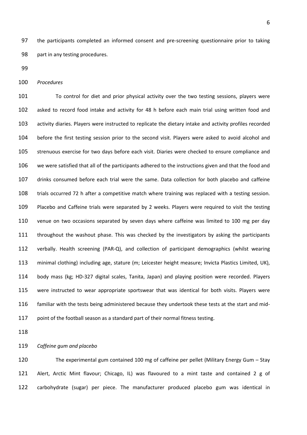the participants completed an informed consent and pre-screening questionnaire prior to taking part in any testing procedures.

*Procedures*

 To control for diet and prior physical activity over the two testing sessions, players were asked to record food intake and activity for 48 h before each main trial using written food and activity diaries. Players were instructed to replicate the dietary intake and activity profiles recorded before the first testing session prior to the second visit. Players were asked to avoid alcohol and strenuous exercise for two days before each visit. Diaries were checked to ensure compliance and we were satisfied that all of the participants adhered to the instructions given and that the food and drinks consumed before each trial were the same. Data collection for both placebo and caffeine trials occurred 72 h after a competitive match where training was replaced with a testing session. Placebo and Caffeine trials were separated by 2 weeks. Players were required to visit the testing venue on two occasions separated by seven days where caffeine was limited to 100 mg per day throughout the washout phase. This was checked by the investigators by asking the participants verbally. Health screening (PAR-Q), and collection of participant demographics (whilst wearing minimal clothing) including age, stature (m; Leicester height measure; Invicta Plastics Limited, UK), body mass (kg; HD-327 digital scales, Tanita, Japan) and playing position were recorded. Players were instructed to wear appropriate sportswear that was identical for both visits. Players were familiar with the tests being administered because they undertook these tests at the start and mid-point of the football season as a standard part of their normal fitness testing.

*Caffeine gum and placebo* 

 The experimental gum contained 100 mg of caffeine per pellet (Military Energy Gum – Stay Alert, Arctic Mint flavour; Chicago, IL) was flavoured to a mint taste and contained 2 g of carbohydrate (sugar) per piece. The manufacturer produced placebo gum was identical in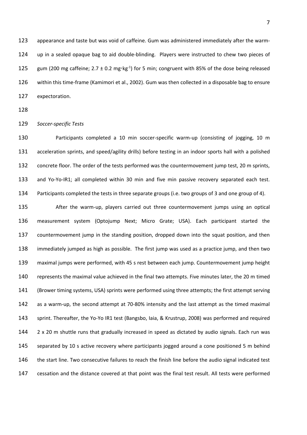appearance and taste but was void of caffeine. Gum was administered immediately after the warm- up in a sealed opaque bag to aid double-blinding. Players were instructed to chew two pieces of 125 gum (200 mg caffeine;  $2.7 \pm 0.2$  mg $\cdot$ kg<sup>-1</sup>) for 5 min; congruent with 85% of the dose being released within this time-frame (Kamimori et al., 2002). Gum was then collected in a disposable bag to ensure expectoration.

*Soccer-specific Tests*

 Participants completed a 10 min soccer-specific warm-up (consisting of jogging, 10 m acceleration sprints, and speed/agility drills) before testing in an indoor sports hall with a polished concrete floor. The order of the tests performed was the countermovement jump test, 20 m sprints, and Yo-Yo-IR1; all completed within 30 min and five min passive recovery separated each test. Participants completed the tests in three separate groups (i.e. two groups of 3 and one group of 4).

 After the warm-up, players carried out three countermovement jumps using an optical measurement system (Optojump Next; Micro Grate; USA). Each participant started the countermovement jump in the standing position, dropped down into the squat position, and then immediately jumped as high as possible. The first jump was used as a practice jump, and then two maximal jumps were performed, with 45 s rest between each jump. Countermovement jump height represents the maximal value achieved in the final two attempts. Five minutes later, the 20 m timed (Brower timing systems, USA) sprints were performed using three attempts; the first attempt serving as a warm-up, the second attempt at 70-80% intensity and the last attempt as the timed maximal sprint. Thereafter, the Yo-Yo IR1 test (Bangsbo, Iaia, & Krustrup, 2008) was performed and required 2 x 20 m shuttle runs that gradually increased in speed as dictated by audio signals. Each run was 145 separated by 10 s active recovery where participants jogged around a cone positioned 5 m behind the start line. Two consecutive failures to reach the finish line before the audio signal indicated test cessation and the distance covered at that point was the final test result. All tests were performed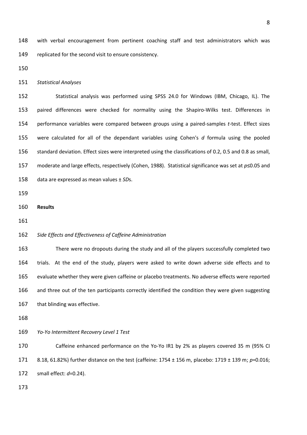with verbal encouragement from pertinent coaching staff and test administrators which was replicated for the second visit to ensure consistency.

## *Statistical Analyses*

 Statistical analysis was performed using SPSS 24.0 for Windows (IBM, Chicago, IL). The paired differences were checked for normality using the Shapiro-Wilks test. Differences in performance variables were compared between groups using a paired-samples *t*-test. Effect sizes were calculated for all of the dependant variables using Cohen's *d* formula using the pooled standard deviation. Effect sizes were interpreted using the classifications of 0.2, 0.5 and 0.8 as small, moderate and large effects, respectively (Cohen, 1988). Statistical significance was set at *p*≤0.05 and data are expressed as mean values ± *SD*s.

- **Results**
- 

## *Side Effects and Effectiveness of Caffeine Administration*

 There were no dropouts during the study and all of the players successfully completed two trials. At the end of the study, players were asked to write down adverse side effects and to evaluate whether they were given caffeine or placebo treatments. No adverse effects were reported and three out of the ten participants correctly identified the condition they were given suggesting 167 that blinding was effective.

*Yo-Yo Intermittent Recovery Level 1 Test*

 Caffeine enhanced performance on the Yo-Yo IR1 by 2% as players covered 35 m (95% CI 8.18, 61.82%) further distance on the test (caffeine: 1754 ± 156 m, placebo: 1719 ± 139 m; *p*=0.016; small effect: *d*=0.24).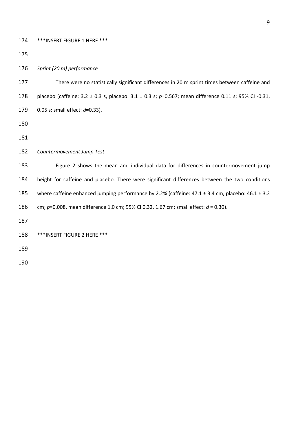\*\*\*INSERT FIGURE 1 HERE \*\*\*

*Sprint (20 m) performance*

 There were no statistically significant differences in 20 m sprint times between caffeine and placebo (caffeine: 3.2 ± 0.3 s, placebo: 3.1 ± 0.3 s; *p*=0.567; mean difference 0.11 s; 95% CI -0.31, 0.05 s; small effect: *d*=0.33).

# *Countermovement Jump Test*

 Figure 2 shows the mean and individual data for differences in countermovement jump height for caffeine and placebo. There were significant differences between the two conditions where caffeine enhanced jumping performance by 2.2% (caffeine: 47.1 ± 3.4 cm, placebo: 46.1 ± 3.2 cm; *p*=0.008, mean difference 1.0 cm; 95% CI 0.32, 1.67 cm; small effect: *d* = 0.30). \*\*\*INSERT FIGURE 2 HERE \*\*\*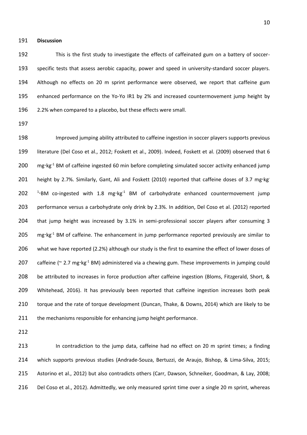#### **Discussion**

 This is the first study to investigate the effects of caffeinated gum on a battery of soccer- specific tests that assess aerobic capacity, power and speed in university-standard soccer players. Although no effects on 20 m sprint performance were observed, we report that caffeine gum enhanced performance on the Yo-Yo IR1 by 2% and increased countermovement jump height by 2.2% when compared to a placebo, but these effects were small.

 Improved jumping ability attributed to caffeine ingestion in soccer players supports previous literature (Del Coso et al., 2012; Foskett et al., 2009). Indeed, Foskett et al. (2009) observed that 6  $\text{mg} \cdot \text{kg}^{-1}$  BM of caffeine ingested 60 min before completing simulated soccer activity enhanced jump 201 height by 2.7%. Similarly, Gant, Ali and Foskett (2010) reported that caffeine doses of 3.7 mg·kg  $^{-1}$ BM co-ingested with 1.8 mg $\cdot$ kg<sup>-1</sup> BM of carbohydrate enhanced countermovement jump performance versus a carbohydrate only drink by 2.3%. In addition, Del Coso et al. (2012) reported that jump height was increased by 3.1% in semi-professional soccer players after consuming 3  $mg \cdot kg^{-1}$  BM of caffeine. The enhancement in jump performance reported previously are similar to what we have reported (2.2%) although our study is the first to examine the effect of lower doses of 207 caffeine ( $\sim$  2.7 mg·kg<sup>-1</sup> BM) administered via a chewing gum. These improvements in jumping could 208 be attributed to increases in force production after caffeine ingestion (Bloms, Fitzgerald, Short, & Whitehead, 2016). It has previously been reported that caffeine ingestion increases both peak torque and the rate of torque development (Duncan, Thake, & Downs, 2014) which are likely to be 211 the mechanisms responsible for enhancing jump height performance.

 In contradiction to the jump data, caffeine had no effect on 20 m sprint times; a finding which supports previous studies (Andrade-Souza, Bertuzzi, de Araujo, Bishop, & Lima-Silva, 2015; Astorino et al., 2012) but also contradicts others (Carr, Dawson, Schneiker, Goodman, & Lay, 2008; Del Coso et al., 2012). Admittedly, we only measured sprint time over a single 20 m sprint, whereas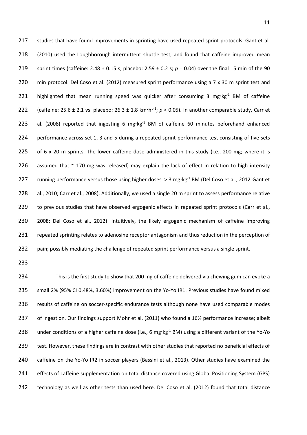217 studies that have found improvements in sprinting have used repeated sprint protocols. Gant et al. 218 (2010) used the Loughborough intermittent shuttle test, and found that caffeine improved mean 219 sprint times (caffeine: 2.48 ± 0.15 s, placebo: 2.59 ± 0.2 s; *p* = 0.04) over the final 15 min of the 90 220 min protocol. Del Coso et al. (2012) measured sprint performance using a 7 x 30 m sprint test and 221 highlighted that mean running speed was quicker after consuming 3 mg·kg<sup>-1</sup> BM of caffeine 222 (caffeine: 25.6  $\pm$  2.1 vs. placebo: 26.3  $\pm$  1.8 km·hr<sup>-1</sup>;  $p$  < 0.05). In another comparable study, Carr et 223 al. (2008) reported that ingesting 6 mg·kg $^{-1}$  BM of caffeine 60 minutes beforehand enhanced 224 performance across set 1, 3 and 5 during a repeated sprint performance test consisting of five sets 225 of 6 x 20 m sprints. The lower caffeine dose administered in this study (i.e., 200 mg; where it is 226 assumed that  $\sim$  170 mg was released) may explain the lack of effect in relation to high intensity 227 running performance versus those using higher doses  $> 3$  mg·kg<sup>-1</sup> BM (Del Coso et al., 2012<sup>;</sup> Gant et 228 al., 2010; Carr et al., 2008). Additionally, we used a single 20 m sprint to assess performance relative 229 to previous studies that have observed ergogenic effects in repeated sprint protocols (Carr et al., 230 2008; Del Coso et al., 2012). Intuitively, the likely ergogenic mechanism of caffeine improving 231 repeated sprinting relates to adenosine receptor antagonism and thus reduction in the perception of 232 pain; possibly mediating the challenge of repeated sprint performance versus a single sprint.

233

 This is the first study to show that 200 mg of caffeine delivered via chewing gum can evoke a small 2% (95% CI 0.48%, 3.60%) improvement on the Yo-Yo IR1. Previous studies have found mixed results of caffeine on soccer-specific endurance tests although none have used comparable modes of ingestion. Our findings support Mohr et al. (2011) who found a 16% performance increase; albeit 238 under conditions of a higher caffeine dose (i.e., 6 mg $\cdot$ kg<sup>-1</sup> BM) using a different variant of the Yo-Yo 239 test. However, these findings are in contrast with other studies that reported no beneficial effects of caffeine on the Yo-Yo IR2 in soccer players (Bassini et al., 2013). Other studies have examined the effects of caffeine supplementation on total distance covered using Global Positioning System (GPS) technology as well as other tests than used here. Del Coso et al. (2012) found that total distance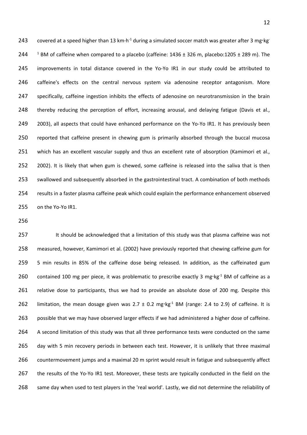243 covered at a speed higher than 13 km·h<sup>-1</sup> during a simulated soccer match was greater after 3 mg·kg<sup>-</sup> 244 BM of caffeine when compared to a placebo (caffeine:  $1436 \pm 326$  m, placebo: $1205 \pm 289$  m). The improvements in total distance covered in the Yo-Yo IR1 in our study could be attributed to caffeine's effects on the central nervous system via adenosine receptor antagonism. More specifically, caffeine ingestion inhibits the effects of adenosine on neurotransmission in the brain thereby reducing the perception of effort, increasing arousal, and delaying fatigue (Davis et al., 249 2003), all aspects that could have enhanced performance on the Yo-Yo IR1. It has previously been reported that caffeine present in chewing gum is primarily absorbed through the buccal mucosa 251 which has an excellent vascular supply and thus an excellent rate of absorption (Kamimori et al., 2002). It is likely that when gum is chewed, some caffeine is released into the saliva that is then swallowed and subsequently absorbed in the gastrointestinal tract. A combination of both methods results in a faster plasma caffeine peak which could explain the performance enhancement observed on the Yo-Yo IR1.

257 It should be acknowledged that a limitation of this study was that plasma caffeine was not measured, however, Kamimori et al. (2002) have previously reported that chewing caffeine gum for 5 min results in 85% of the caffeine dose being released. In addition, as the caffeinated gum 260 contained 100 mg per piece, it was problematic to prescribe exactly 3 mg·kg<sup>-1</sup> BM of caffeine as a 261 relative dose to participants, thus we had to provide an absolute dose of 200 mg. Despite this 262 limitation, the mean dosage given was 2.7  $\pm$  0.2 mg·kg<sup>-1</sup> BM (range: 2.4 to 2.9) of caffeine. It is possible that we may have observed larger effects if we had administered a higher dose of caffeine. A second limitation of this study was that all three performance tests were conducted on the same 265 day with 5 min recovery periods in between each test. However, it is unlikely that three maximal countermovement jumps and a maximal 20 m sprint would result in fatigue and subsequently affect the results of the Yo-Yo IR1 test. Moreover, these tests are typically conducted in the field on the same day when used to test players in the 'real world'. Lastly, we did not determine the reliability of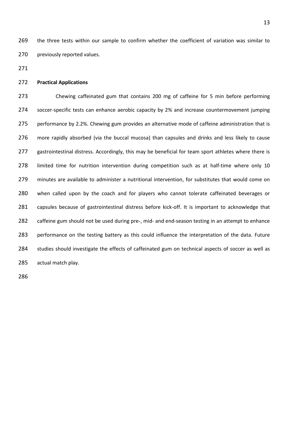269 the three tests within our sample to confirm whether the coefficient of variation was similar to 270 previously reported values.

## **Practical Applications**

 Chewing caffeinated gum that contains 200 mg of caffeine for 5 min before performing soccer-specific tests can enhance aerobic capacity by 2% and increase countermovement jumping performance by 2.2%. Chewing gum provides an alternative mode of caffeine administration that is more rapidly absorbed (via the buccal mucosa) than capsules and drinks and less likely to cause 277 gastrointestinal distress. Accordingly, this may be beneficial for team sport athletes where there is limited time for nutrition intervention during competition such as at half-time where only 10 minutes are available to administer a nutritional intervention, for substitutes that would come on when called upon by the coach and for players who cannot tolerate caffeinated beverages or capsules because of gastrointestinal distress before kick-off. It is important to acknowledge that caffeine gum should not be used during pre-, mid- and end-season testing in an attempt to enhance performance on the testing battery as this could influence the interpretation of the data. Future studies should investigate the effects of caffeinated gum on technical aspects of soccer as well as actual match play.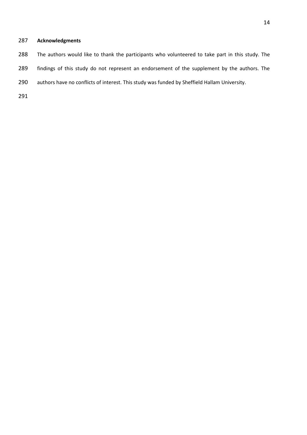# **Acknowledgments**

- The authors would like to thank the participants who volunteered to take part in this study. The
- findings of this study do not represent an endorsement of the supplement by the authors. The
- authors have no conflicts of interest. This study was funded by Sheffield Hallam University.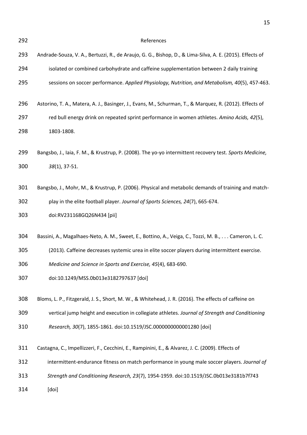References Andrade-Souza, V. A., Bertuzzi, R., de Araujo, G. G., Bishop, D., & Lima-Silva, A. E. (2015). Effects of isolated or combined carbohydrate and caffeine supplementation between 2 daily training sessions on soccer performance. *Applied Physiology, Nutrition, and Metabolism, 40*(5), 457-463. Astorino, T. A., Matera, A. J., Basinger, J., Evans, M., Schurman, T., & Marquez, R. (2012). Effects of red bull energy drink on repeated sprint performance in women athletes. *Amino Acids, 42*(5), 1803-1808. Bangsbo, J., Iaia, F. M., & Krustrup, P. (2008). The yo-yo intermittent recovery test. *Sports Medicine, 38*(1), 37-51. Bangsbo, J., Mohr, M., & Krustrup, P. (2006). Physical and metabolic demands of training and match- play in the elite football player. *Journal of Sports Sciences, 24*(7), 665-674. doi:RV231168GQ26N434 [pii] Bassini, A., Magalhaes-Neto, A. M., Sweet, E., Bottino, A., Veiga, C., Tozzi, M. B., . . . Cameron, L. C. (2013). Caffeine decreases systemic urea in elite soccer players during intermittent exercise. *Medicine and Science in Sports and Exercise, 45*(4), 683-690. doi:10.1249/MSS.0b013e3182797637 [doi] Bloms, L. P., Fitzgerald, J. S., Short, M. W., & Whitehead, J. R. (2016). The effects of caffeine on vertical jump height and execution in collegiate athletes. *Journal of Strength and Conditioning Research, 30*(7), 1855-1861. doi:10.1519/JSC.0000000000001280 [doi] Castagna, C., Impellizzeri, F., Cecchini, E., Rampinini, E., & Alvarez, J. C. (2009). Effects of intermittent-endurance fitness on match performance in young male soccer players. *Journal of Strength and Conditioning Research, 23*(7), 1954-1959. doi:10.1519/JSC.0b013e3181b7f743 [doi]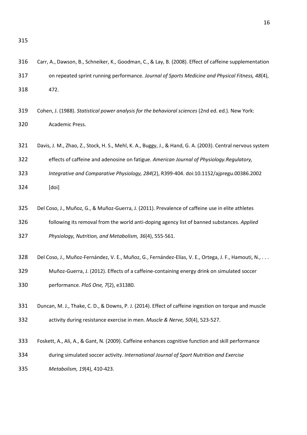| 316 | Carr, A., Dawson, B., Schneiker, K., Goodman, C., & Lay, B. (2008). Effect of caffeine supplementation     |
|-----|------------------------------------------------------------------------------------------------------------|
| 317 | on repeated sprint running performance. Journal of Sports Medicine and Physical Fitness, 48(4),            |
| 318 | 472.                                                                                                       |
| 319 | Cohen, J. (1988). Statistical power analysis for the behavioral sciences (2nd ed. ed.). New York:          |
| 320 | Academic Press.                                                                                            |
| 321 | Davis, J. M., Zhao, Z., Stock, H. S., Mehl, K. A., Buggy, J., & Hand, G. A. (2003). Central nervous system |
| 322 | effects of caffeine and adenosine on fatigue. American Journal of Physiology. Regulatory,                  |
| 323 | Integrative and Comparative Physiology, 284(2), R399-404. doi:10.1152/ajpregu.00386.2002                   |
| 324 | [doi]                                                                                                      |
| 325 | Del Coso, J., Muñoz, G., & Muñoz-Guerra, J. (2011). Prevalence of caffeine use in elite athletes           |
| 326 | following its removal from the world anti-doping agency list of banned substances. Applied                 |
| 327 | Physiology, Nutrition, and Metabolism, 36(4), 555-561.                                                     |
| 328 | Del Coso, J., Muñoz-Fernández, V. E., Muñoz, G., Fernández-Elías, V. E., Ortega, J. F., Hamouti, N.,       |
| 329 | Muñoz-Guerra, J. (2012). Effects of a caffeine-containing energy drink on simulated soccer                 |
| 330 | performance. PloS One, 7(2), e31380.                                                                       |
| 331 | Duncan, M. J., Thake, C. D., & Downs, P. J. (2014). Effect of caffeine ingestion on torque and muscle      |
| 332 | activity during resistance exercise in men. Muscle & Nerve, 50(4), 523-527.                                |
| 333 | Foskett, A., Ali, A., & Gant, N. (2009). Caffeine enhances cognitive function and skill performance        |
| 334 | during simulated soccer activity. International Journal of Sport Nutrition and Exercise                    |
| 335 | Metabolism, 19(4), 410-423.                                                                                |
|     |                                                                                                            |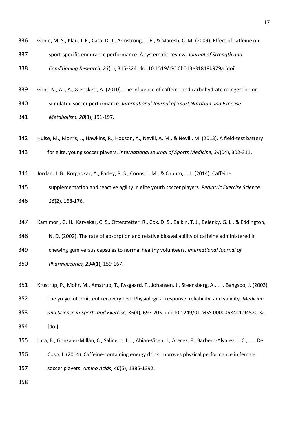| 336 | Ganio, M. S., Klau, J. F., Casa, D. J., Armstrong, L. E., & Maresh, C. M. (2009). Effect of caffeine on     |
|-----|-------------------------------------------------------------------------------------------------------------|
| 337 | sport-specific endurance performance: A systematic review. Journal of Strength and                          |
| 338 | Conditioning Research, 23(1), 315-324. doi:10.1519/JSC.0b013e31818b979a [doi]                               |
| 339 | Gant, N., Ali, A., & Foskett, A. (2010). The influence of caffeine and carbohydrate coingestion on          |
| 340 | simulated soccer performance. International Journal of Sport Nutrition and Exercise                         |
| 341 | Metabolism, 20(3), 191-197.                                                                                 |
| 342 | Hulse, M., Morris, J., Hawkins, R., Hodson, A., Nevill, A. M., & Nevill, M. (2013). A field-test battery    |
| 343 | for elite, young soccer players. International Journal of Sports Medicine, 34(04), 302-311.                 |
| 344 | Jordan, J. B., Korgaokar, A., Farley, R. S., Coons, J. M., & Caputo, J. L. (2014). Caffeine                 |
| 345 | supplementation and reactive agility in elite youth soccer players. Pediatric Exercise Science,             |
| 346 | 26(2), 168-176.                                                                                             |
| 347 | Kamimori, G. H., Karyekar, C. S., Otterstetter, R., Cox, D. S., Balkin, T. J., Belenky, G. L., & Eddington, |
| 348 | N. D. (2002). The rate of absorption and relative bioavailability of caffeine administered in               |
| 349 | chewing gum versus capsules to normal healthy volunteers. International Journal of                          |
| 350 | Pharmaceutics, 234(1), 159-167.                                                                             |
| 351 | Krustrup, P., Mohr, M., Amstrup, T., Rysgaard, T., Johansen, J., Steensberg, A.,  Bangsbo, J. (2003).       |
| 352 | The yo-yo intermittent recovery test: Physiological response, reliability, and validity. Medicine           |
| 353 | and Science in Sports and Exercise, 35(4), 697-705. doi:10.1249/01.MSS.0000058441.94520.32                  |

[doi]

Lara, B., Gonzalez-Millán, C., Salinero, J. J., Abian-Vicen, J., Areces, F., Barbero-Alvarez, J. C., . . . Del

 Coso, J. (2014). Caffeine-containing energy drink improves physical performance in female soccer players. *Amino Acids, 46*(5), 1385-1392.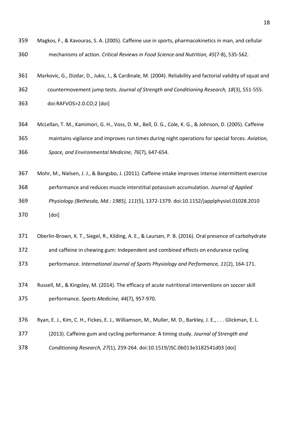| 359 | Magkos, F., & Kavouras, S. A. (2005). Caffeine use in sports, pharmacokinetics in man, and cellular |
|-----|-----------------------------------------------------------------------------------------------------|
| 360 | mechanisms of action. Critical Reviews in Food Science and Nutrition, 45(7-8), 535-562.             |

- Markovic, G., Dizdar, D., Jukic, I., & Cardinale, M. (2004). Reliability and factorial validity of squat and
- countermovement jump tests. *Journal of Strength and Conditioning Research, 18*(3), 551-555.

doi:RAFVOS>2.0.CO;2 [doi]

- McLellan, T. M., Kamimori, G. H., Voss, D. M., Bell, D. G., Cole, K. G., & Johnson, D. (2005). Caffeine maintains vigilance and improves run times during night operations for special forces. *Aviation, Space, and Environmental Medicine, 76*(7), 647-654.
- Mohr, M., Nielsen, J. J., & Bangsbo, J. (2011). Caffeine intake improves intense intermittent exercise performance and reduces muscle interstitial potassium accumulation. *Journal of Applied Physiology (Bethesda, Md.: 1985), 111*(5), 1372-1379. doi:10.1152/japplphysiol.01028.2010 [doi]
- Oberlin-Brown, K. T., Siegel, R., Kilding, A. E., & Laursen, P. B. (2016). Oral presence of carbohydrate
- and caffeine in chewing gum: Independent and combined effects on endurance cycling
- performance. *International Journal of Sports Physiology and Performance, 11*(2), 164-171.
- Russell, M., & Kingsley, M. (2014). The efficacy of acute nutritional interventions on soccer skill performance. *Sports Medicine, 44*(7), 957-970.
- Ryan, E. J., Kim, C. H., Fickes, E. J., Williamson, M., Muller, M. D., Barkley, J. E., . . . Glickman, E. L.
- (2013). Caffeine gum and cycling performance: A timing study. *Journal of Strength and*
- *Conditioning Research, 27*(1), 259-264. doi:10.1519/JSC.0b013e3182541d03 [doi]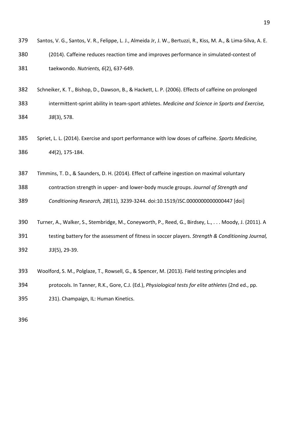| 379 | Santos, V. G., Santos, V. R., Felippe, L. J., Almeida Jr, J. W., Bertuzzi, R., Kiss, M. A., & Lima-Silva, A. E. |
|-----|-----------------------------------------------------------------------------------------------------------------|
| 380 | (2014). Caffeine reduces reaction time and improves performance in simulated-contest of                         |
| 381 | taekwondo. Nutrients, 6(2), 637-649.                                                                            |

Schneiker, K. T., Bishop, D., Dawson, B., & Hackett, L. P. (2006). Effects of caffeine on prolonged

 intermittent-sprint ability in team-sport athletes. *Medicine and Science in Sports and Exercise, 38*(3), 578.

 Spriet, L. L. (2014). Exercise and sport performance with low doses of caffeine. *Sports Medicine, 44*(2), 175-184.

 Timmins, T. D., & Saunders, D. H. (2014). Effect of caffeine ingestion on maximal voluntary contraction strength in upper- and lower-body muscle groups. *Journal of Strength and* 

*Conditioning Research, 28*(11), 3239-3244. doi:10.1519/JSC.0000000000000447 [doi]

Turner, A., Walker, S., Stembridge, M., Coneyworth, P., Reed, G., Birdsey, L., . . . Moody, J. (2011). A

 testing battery for the assessment of fitness in soccer players. *Strength & Conditioning Journal, 33*(5), 29-39.

Woolford, S. M., Polglaze, T., Rowsell, G., & Spencer, M. (2013). Field testing principles and

- protocols. In Tanner, R.K., Gore, C.J. (Ed.), *Physiological tests for elite athletes* (2nd ed., pp.
- 231). Champaign, IL: Human Kinetics.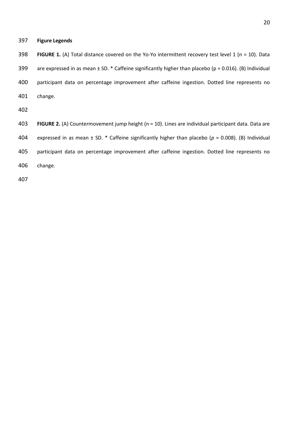**Figure Legends**

 **FIGURE 1.** (A) Total distance covered on the Yo-Yo intermittent recovery test level 1 (n = 10). Data 399 are expressed in as mean  $\pm$  SD. \* Caffeine significantly higher than placebo (p = 0.016). (B) Individual participant data on percentage improvement after caffeine ingestion. Dotted line represents no change.

 **FIGURE 2.** (A) Countermovement jump height (n = 10). Lines are individual participant data. Data are expressed in as mean ± SD. \* Caffeine significantly higher than placebo (*p* = 0.008). (B) Individual participant data on percentage improvement after caffeine ingestion. Dotted line represents no change.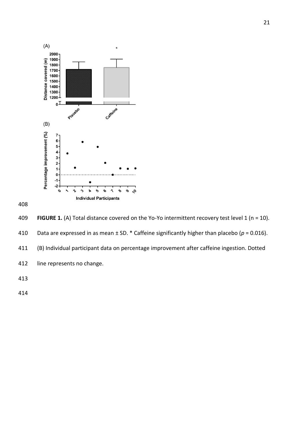